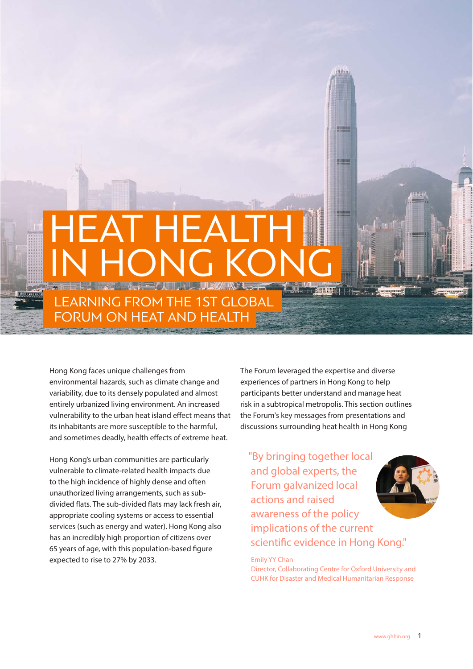# EAT HEALT ONG KONG LEARNING FROM THE 1ST GLOBAL FORUM ON HEAT AND HEALTH

Hong Kong faces unique challenges from environmental hazards, such as climate change and variability, due to its densely populated and almost entirely urbanized living environment. An increased vulnerability to the urban heat island effect means that its inhabitants are more susceptible to the harmful, and sometimes deadly, health effects of extreme heat.

Hong Kong's urban communities are particularly vulnerable to climate-related health impacts due to the high incidence of highly dense and often unauthorized living arrangements, such as subdivided flats. The sub-divided flats may lack fresh air, appropriate cooling systems or access to essential services (such as energy and water). Hong Kong also has an incredibly high proportion of citizens over 65 years of age, with this population-based figure expected to rise to 27% by 2033.

The Forum leveraged the expertise and diverse experiences of partners in Hong Kong to help participants better understand and manage heat risk in a subtropical metropolis. This section outlines the Forum's key messages from presentations and discussions surrounding heat health in Hong Kong

"By bringing together local and global experts, the Forum galvanized local actions and raised awareness of the policy implications of the current scientific evidence in Hong Kong."

Emily YY Chan Director, Collaborating Centre for Oxford University and CUHK for Disaster and Medical Humanitarian Response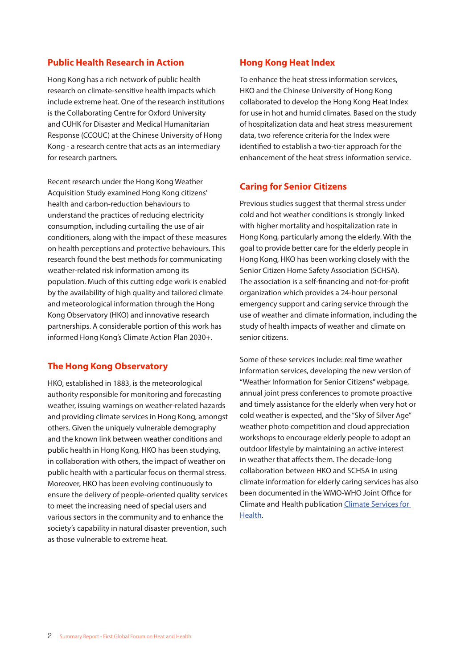#### **Public Health Research in Action**

Hong Kong has a rich network of public health research on climate-sensitive health impacts which include extreme heat. One of the research institutions is the Collaborating Centre for Oxford University and CUHK for Disaster and Medical Humanitarian Response (CCOUC) at the Chinese University of Hong Kong - a research centre that acts as an intermediary for research partners.

Recent research under the Hong Kong Weather Acquisition Study examined Hong Kong citizens' health and carbon-reduction behaviours to understand the practices of reducing electricity consumption, including curtailing the use of air conditioners, along with the impact of these measures on health perceptions and protective behaviours. This research found the best methods for communicating weather-related risk information among its population. Much of this cutting edge work is enabled by the availability of high quality and tailored climate and meteorological information through the Hong Kong Observatory (HKO) and innovative research partnerships. A considerable portion of this work has informed Hong Kong's Climate Action Plan 2030+.

## **The Hong Kong Observatory**

HKO, established in 1883, is the meteorological authority responsible for monitoring and forecasting weather, issuing warnings on weather-related hazards and providing climate services in Hong Kong, amongst others. Given the uniquely vulnerable demography and the known link between weather conditions and public health in Hong Kong, HKO has been studying, in collaboration with others, the impact of weather on public health with a particular focus on thermal stress. Moreover, HKO has been evolving continuously to ensure the delivery of people-oriented quality services to meet the increasing need of special users and various sectors in the community and to enhance the society's capability in natural disaster prevention, such as those vulnerable to extreme heat.

#### **Hong Kong Heat Index**

To enhance the heat stress information services, HKO and the Chinese University of Hong Kong collaborated to develop the Hong Kong Heat Index for use in hot and humid climates. Based on the study of hospitalization data and heat stress measurement data, two reference criteria for the Index were identified to establish a two-tier approach for the enhancement of the heat stress information service.

## **Caring for Senior Citizens**

Previous studies suggest that thermal stress under cold and hot weather conditions is strongly linked with higher mortality and hospitalization rate in Hong Kong, particularly among the elderly. With the goal to provide better care for the elderly people in Hong Kong, HKO has been working closely with the Senior Citizen Home Safety Association (SCHSA). The association is a self-financing and not-for-profit organization which provides a 24-hour personal emergency support and caring service through the use of weather and climate information, including the study of health impacts of weather and climate on senior citizens.

Some of these services include: real time weather information services, developing the new version of "Weather Information for Senior Citizens" webpage, annual joint press conferences to promote proactive and timely assistance for the elderly when very hot or cold weather is expected, and the "Sky of Silver Age" weather photo competition and cloud appreciation workshops to encourage elderly people to adopt an outdoor lifestyle by maintaining an active interest in weather that affects them. The decade-long collaboration between HKO and SCHSA in using climate information for elderly caring services has also been documented in the WMO-WHO Joint Office for Climate and Health publication Climate Services for Health.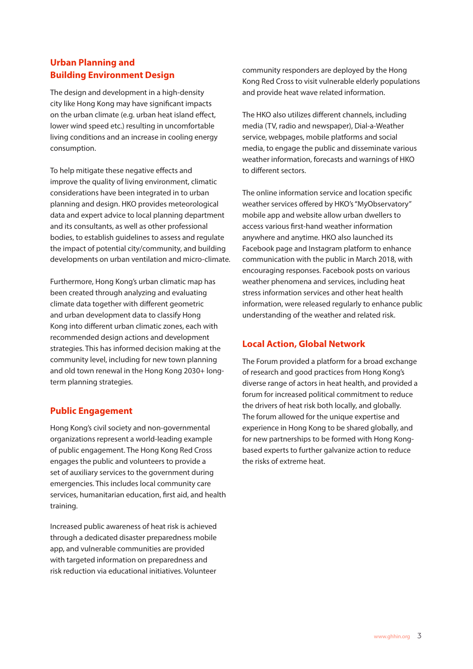# **Urban Planning and Building Environment Design**

The design and development in a high-density city like Hong Kong may have significant impacts on the urban climate (e.g. urban heat island effect, lower wind speed etc.) resulting in uncomfortable living conditions and an increase in cooling energy consumption.

To help mitigate these negative effects and improve the quality of living environment, climatic considerations have been integrated in to urban planning and design. HKO provides meteorological data and expert advice to local planning department and its consultants, as well as other professional bodies, to establish guidelines to assess and regulate the impact of potential city/community, and building developments on urban ventilation and micro-climate.

Furthermore, Hong Kong's urban climatic map has been created through analyzing and evaluating climate data together with different geometric and urban development data to classify Hong Kong into different urban climatic zones, each with recommended design actions and development strategies. This has informed decision making at the community level, including for new town planning and old town renewal in the Hong Kong 2030+ longterm planning strategies.

# **Public Engagement**

Hong Kong's civil society and non-governmental organizations represent a world-leading example of public engagement. The Hong Kong Red Cross engages the public and volunteers to provide a set of auxiliary services to the government during emergencies. This includes local community care services, humanitarian education, first aid, and health training.

Increased public awareness of heat risk is achieved through a dedicated disaster preparedness mobile app, and vulnerable communities are provided with targeted information on preparedness and risk reduction via educational initiatives. Volunteer

community responders are deployed by the Hong Kong Red Cross to visit vulnerable elderly populations and provide heat wave related information.

The HKO also utilizes different channels, including media (TV, radio and newspaper), Dial-a-Weather service, webpages, mobile platforms and social media, to engage the public and disseminate various weather information, forecasts and warnings of HKO to different sectors.

The online information service and location specific weather services offered by HKO's "MyObservatory" mobile app and website allow urban dwellers to access various first-hand weather information anywhere and anytime. HKO also launched its Facebook page and Instagram platform to enhance communication with the public in March 2018, with encouraging responses. Facebook posts on various weather phenomena and services, including heat stress information services and other heat health information, were released regularly to enhance public understanding of the weather and related risk.

# **Local Action, Global Network**

The Forum provided a platform for a broad exchange of research and good practices from Hong Kong's diverse range of actors in heat health, and provided a forum for increased political commitment to reduce the drivers of heat risk both locally, and globally. The forum allowed for the unique expertise and experience in Hong Kong to be shared globally, and for new partnerships to be formed with Hong Kongbased experts to further galvanize action to reduce the risks of extreme heat.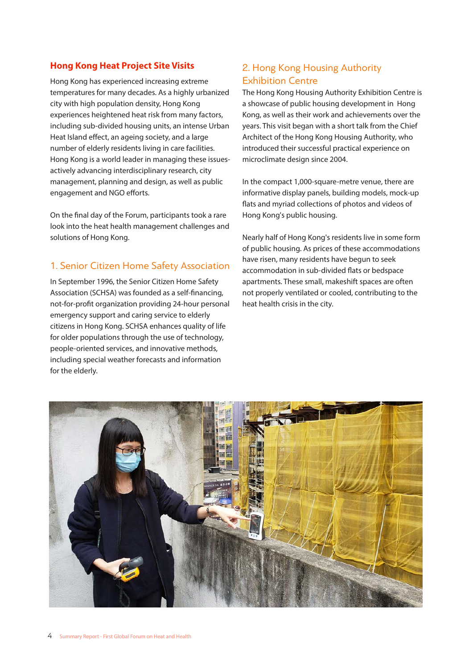# **Hong Kong Heat Project Site Visits**

Hong Kong has experienced increasing extreme temperatures for many decades. As a highly urbanized city with high population density, Hong Kong experiences heightened heat risk from many factors, including sub-divided housing units, an intense Urban Heat Island effect, an ageing society, and a large number of elderly residents living in care facilities. Hong Kong is a world leader in managing these issuesactively advancing interdisciplinary research, city management, planning and design, as well as public engagement and NGO efforts.

On the final day of the Forum, participants took a rare look into the heat health management challenges and solutions of Hong Kong.

# 1. Senior Citizen Home Safety Association

In September 1996, the Senior Citizen Home Safety Association (SCHSA) was founded as a self-financing, not-for-profit organization providing 24-hour personal emergency support and caring service to elderly citizens in Hong Kong. SCHSA enhances quality of life for older populations through the use of technology, people-oriented services, and innovative methods, including special weather forecasts and information for the elderly.

# 2. Hong Kong Housing Authority Exhibition Centre

The Hong Kong Housing Authority Exhibition Centre is a showcase of public housing development in Hong Kong, as well as their work and achievements over the years. This visit began with a short talk from the Chief Architect of the Hong Kong Housing Authority, who introduced their successful practical experience on microclimate design since 2004.

In the compact 1,000-square-metre venue, there are informative display panels, building models, mock-up flats and myriad collections of photos and videos of Hong Kong's public housing.

Nearly half of Hong Kong's residents live in some form of public housing. As prices of these accommodations have risen, many residents have begun to seek accommodation in sub-divided flats or bedspace apartments. These small, makeshift spaces are often not properly ventilated or cooled, contributing to the heat health crisis in the city.

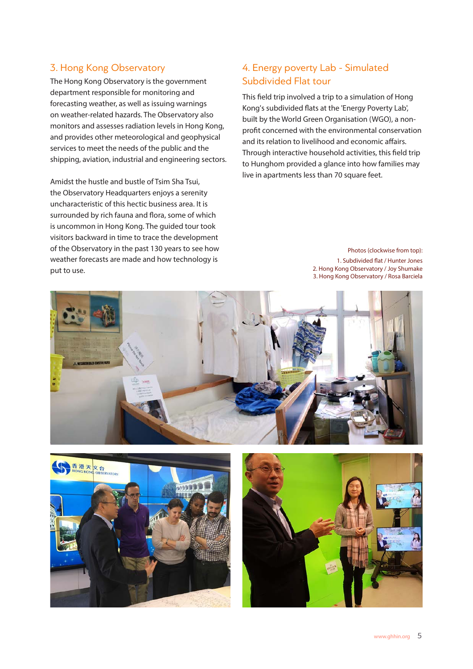# 3. Hong Kong Observatory

The Hong Kong Observatory is the government department responsible for monitoring and forecasting weather, as well as issuing warnings on weather-related hazards. The Observatory also monitors and assesses radiation levels in Hong Kong, and provides other meteorological and geophysical services to meet the needs of the public and the shipping, aviation, industrial and engineering sectors.

Amidst the hustle and bustle of Tsim Sha Tsui, the Observatory Headquarters enjoys a serenity uncharacteristic of this hectic business area. It is surrounded by rich fauna and flora, some of which is uncommon in Hong Kong. The guided tour took visitors backward in time to trace the development of the Observatory in the past 130 years to see how weather forecasts are made and how technology is put to use.

# 4. Energy poverty Lab - Simulated Subdivided Flat tour

This field trip involved a trip to a simulation of Hong Kong's subdivided flats at the 'Energy Poverty Lab', built by the World Green Organisation (WGO), a nonprofit concerned with the environmental conservation and its relation to livelihood and economic affairs. Through interactive household activities, this field trip to Hunghom provided a glance into how families may live in apartments less than 70 square feet.

> Photos (clockwise from top): 1. Subdivided flat / Hunter Jones 2. Hong Kong Observatory / Joy Shumake 3. Hong Kong Observatory / Rosa Barciela





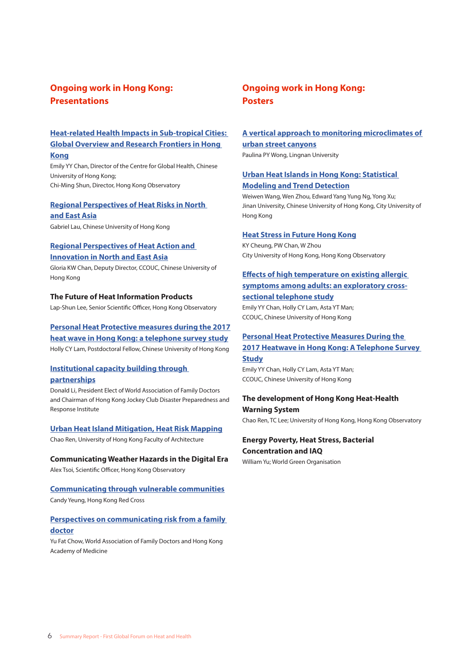# **Ongoing work in Hong Kong: Presentations**

#### **Heat-related Health Impacts in Sub-tropical Cities: Global Overview and Research Frontiers in Hong Kong**

Emily YY Chan, Director of the Centre for Global Health, Chinese University of Hong Kong; Chi-Ming Shun, Director, Hong Kong Observatory

#### **Regional Perspectives of Heat Risks in North and East Asia**

Gabriel Lau, Chinese University of Hong Kong

#### **Regional Perspectives of Heat Action and Innovation in North and East Asia**

Gloria KW Chan, Deputy Director, CCOUC, Chinese University of Hong Kong

#### **The Future of Heat Information Products**

Lap-Shun Lee, Senior Scientific Officer, Hong Kong Observatory

#### **Personal Heat Protective measures during the 2017 heat wave in Hong Kong: a telephone survey study**

Holly CY Lam, Postdoctoral Fellow, Chinese University of Hong Kong

#### **Institutional capacity building through partnerships**

Donald Li, President Elect of World Association of Family Doctors and Chairman of Hong Kong Jockey Club Disaster Preparedness and Response Institute

#### **Urban Heat Island Mitigation, Heat Risk Mapping**

Chao Ren, University of Hong Kong Faculty of Architecture

#### **Communicating Weather Hazards in the Digital Era** Alex Tsoi, Scientific Officer, Hong Kong Observatory

# **Communicating through vulnerable communities**

Candy Yeung, Hong Kong Red Cross

#### **Perspectives on communicating risk from a family doctor**

Yu Fat Chow, World Association of Family Doctors and Hong Kong Academy of Medicine

# **Ongoing work in Hong Kong: Posters**

# **A vertical approach to monitoring microclimates of urban street canyons**

Paulina PY Wong, Lingnan University

#### **Urban Heat Islands in Hong Kong: Statistical Modeling and Trend Detection**

Weiwen Wang, Wen Zhou, Edward Yang Yung Ng, Yong Xu; Jinan University, Chinese University of Hong Kong, City University of Hong Kong

#### **Heat Stress in Future Hong Kong**

KY Cheung, PW Chan, W Zhou City University of Hong Kong, Hong Kong Observatory

## **Effects of high temperature on existing allergic symptoms among adults: an exploratory crosssectional telephone study**

Emily YY Chan, Holly CY Lam, Asta YT Man; CCOUC, Chinese University of Hong Kong

#### **Personal Heat Protective Measures During the 2017 Heatwave in Hong Kong: A Telephone Survey**

**Study** Emily YY Chan, Holly CY Lam, Asta YT Man; CCOUC, Chinese University of Hong Kong

# **The development of Hong Kong Heat-Health Warning System**

Chao Ren, TC Lee; University of Hong Kong, Hong Kong Observatory

**Energy Poverty, Heat Stress, Bacterial Concentration and IAQ** 

William Yu; World Green Organisation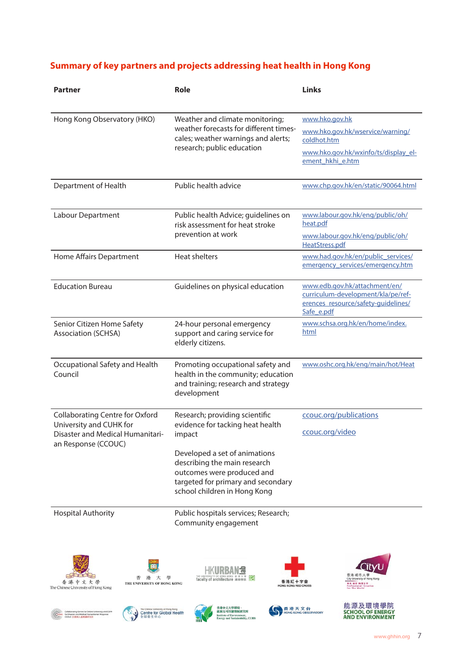# **Summary of key partners and projects addressing heat health in Hong Kong**

| Partner                                                                                                                                                                                                 | Role                                                                                                                                                                                                                                              | <b>Links</b>                                                                                                                  |
|---------------------------------------------------------------------------------------------------------------------------------------------------------------------------------------------------------|---------------------------------------------------------------------------------------------------------------------------------------------------------------------------------------------------------------------------------------------------|-------------------------------------------------------------------------------------------------------------------------------|
| Hong Kong Observatory (HKO)                                                                                                                                                                             | Weather and climate monitoring;<br>weather forecasts for different times-<br>cales; weather warnings and alerts;<br>research; public education                                                                                                    | www.hko.gov.hk<br>www.hko.gov.hk/wservice/warning/<br>coldhot.htm<br>www.hko.gov.hk/wxinfo/ts/display_el-<br>ement_hkhi_e.htm |
| Department of Health                                                                                                                                                                                    | Public health advice                                                                                                                                                                                                                              | www.chp.gov.hk/en/static/90064.html                                                                                           |
| Labour Department                                                                                                                                                                                       | Public health Advice; guidelines on<br>risk assessment for heat stroke<br>prevention at work                                                                                                                                                      | www.labour.gov.hk/eng/public/oh/<br>heat.pdf<br>www.labour.gov.hk/eng/public/oh/<br>HeatStress.pdf                            |
| Home Affairs Department                                                                                                                                                                                 | <b>Heat shelters</b>                                                                                                                                                                                                                              | www.had.gov.hk/en/public_services/<br>emergency_services/emergency.htm                                                        |
| <b>Education Bureau</b>                                                                                                                                                                                 | Guidelines on physical education                                                                                                                                                                                                                  | www.edb.gov.hk/attachment/en/<br>curriculum-development/kla/pe/ref-<br>erences resource/safety-quidelines/<br>Safe_e.pdf      |
| Senior Citizen Home Safety<br><b>Association (SCHSA)</b>                                                                                                                                                | 24-hour personal emergency<br>support and caring service for<br>elderly citizens.                                                                                                                                                                 | www.schsa.org.hk/en/home/index.<br>html                                                                                       |
| Occupational Safety and Health<br>Council                                                                                                                                                               | Promoting occupational safety and<br>health in the community; education<br>and training; research and strategy<br>development                                                                                                                     | www.oshc.org.hk/eng/main/hot/Heat                                                                                             |
| <b>Collaborating Centre for Oxford</b><br>University and CUHK for<br>Disaster and Medical Humanitari-<br>an Response (CCOUC)                                                                            | Research; providing scientific<br>evidence for tacking heat health<br>impact<br>Developed a set of animations<br>describing the main research<br>outcomes were produced and<br>targeted for primary and secondary<br>school children in Hong Kong | ccouc.org/publications<br>ccouc.org/video                                                                                     |
| <b>Hospital Authority</b><br>香<br>港<br>大<br>學<br>香港中文大學<br>THE UNIVERSITY OF HONG KONG<br>The Chinese University of Hong Kong                                                                           | Public hospitals services; Research;<br>Community engagement<br>ব<br>HONG KONG 香港ノ<br>faculty of architecture 建築學院<br>香港紅十字會<br>HONG KONG RED CROSS                                                                                               | 香港城市大學<br>City University of Hong Kong<br><b>黒黒 創新 開催全球</b><br>Professional - Creative<br>For The World                       |
| The Chinese University of Hong Kong<br>Collaborating Centre for Oxford University and CUHR<br>Centre for Global Health<br>for Disaster and Medical Human<br>CCOUC 北京區人連邦護研究局<br>starian Respo<br>全球型生中心 | 香港中文大學環境、<br>香港天文台<br>能源及可持續發展研究所<br><b>Institute of Environment,<br/>Energy and Sustainability, CUHK</b>                                                                                                                                         | 能源及環境學院<br><b>SCHOOL OF ENERGY</b><br><b>HONG KONG OBSERVATORY</b><br><b>AND ENVIRONMENT</b>                                  |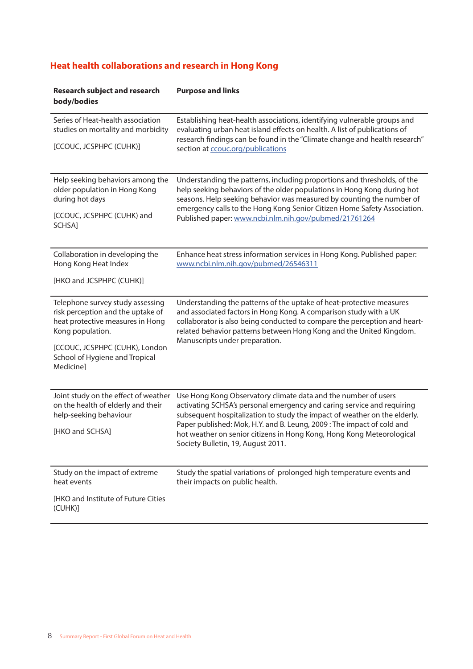# **Heat health collaborations and research in Hong Kong**

| <b>Research subject and research</b><br>body/bodies                                                                           | <b>Purpose and links</b>                                                                                                                                                                                                                                                                                                                                                                                       |  |
|-------------------------------------------------------------------------------------------------------------------------------|----------------------------------------------------------------------------------------------------------------------------------------------------------------------------------------------------------------------------------------------------------------------------------------------------------------------------------------------------------------------------------------------------------------|--|
| Series of Heat-health association<br>studies on mortality and morbidity                                                       | Establishing heat-health associations, identifying vulnerable groups and<br>evaluating urban heat island effects on health. A list of publications of<br>research findings can be found in the "Climate change and health research"                                                                                                                                                                            |  |
| [CCOUC, JCSPHPC (CUHK)]                                                                                                       | section at ccouc.org/publications                                                                                                                                                                                                                                                                                                                                                                              |  |
| Help seeking behaviors among the<br>older population in Hong Kong<br>during hot days                                          | Understanding the patterns, including proportions and thresholds, of the<br>help seeking behaviors of the older populations in Hong Kong during hot<br>seasons. Help seeking behavior was measured by counting the number of<br>emergency calls to the Hong Kong Senior Citizen Home Safety Association.                                                                                                       |  |
| [CCOUC, JCSPHPC (CUHK) and<br>SCHSA]                                                                                          | Published paper: www.ncbi.nlm.nih.gov/pubmed/21761264                                                                                                                                                                                                                                                                                                                                                          |  |
| Collaboration in developing the<br>Hong Kong Heat Index                                                                       | Enhance heat stress information services in Hong Kong. Published paper:<br>www.ncbi.nlm.nih.gov/pubmed/26546311                                                                                                                                                                                                                                                                                                |  |
| [HKO and JCSPHPC (CUHK)]                                                                                                      |                                                                                                                                                                                                                                                                                                                                                                                                                |  |
| Telephone survey study assessing<br>risk perception and the uptake of<br>heat protective measures in Hong<br>Kong population. | Understanding the patterns of the uptake of heat-protective measures<br>and associated factors in Hong Kong. A comparison study with a UK<br>collaborator is also being conducted to compare the perception and heart-<br>related behavior patterns between Hong Kong and the United Kingdom.<br>Manuscripts under preparation.                                                                                |  |
| [CCOUC, JCSPHPC (CUHK), London<br>School of Hygiene and Tropical<br>Medicine]                                                 |                                                                                                                                                                                                                                                                                                                                                                                                                |  |
| Joint study on the effect of weather<br>on the health of elderly and their<br>help-seeking behaviour                          | Use Hong Kong Observatory climate data and the number of users<br>activating SCHSA's personal emergency and caring service and requiring<br>subsequent hospitalization to study the impact of weather on the elderly.<br>Paper published: Mok, H.Y. and B. Leung, 2009 : The impact of cold and<br>hot weather on senior citizens in Hong Kong, Hong Kong Meteorological<br>Society Bulletin, 19, August 2011. |  |
| [HKO and SCHSA]                                                                                                               |                                                                                                                                                                                                                                                                                                                                                                                                                |  |
| Study on the impact of extreme<br>heat events                                                                                 | Study the spatial variations of prolonged high temperature events and<br>their impacts on public health.                                                                                                                                                                                                                                                                                                       |  |
| [HKO and Institute of Future Cities<br>(CUHK)]                                                                                |                                                                                                                                                                                                                                                                                                                                                                                                                |  |